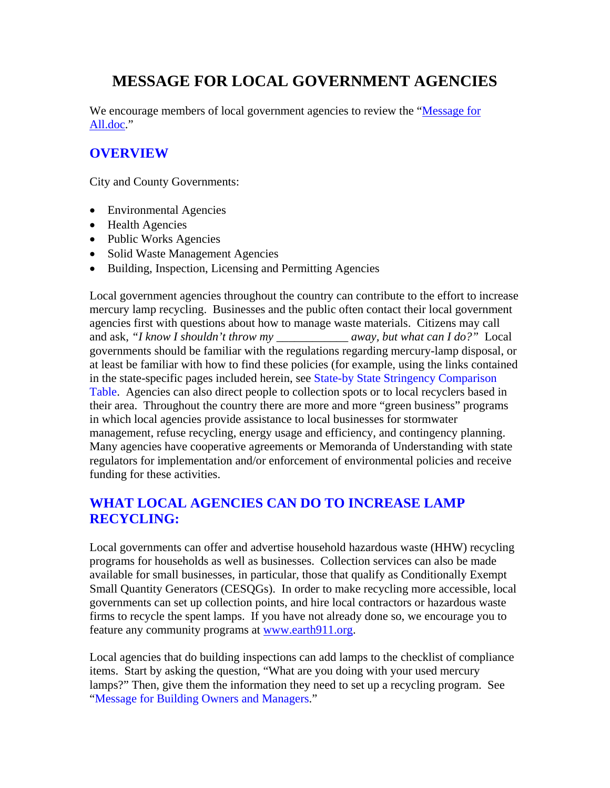# **MESSAGE FOR LOCAL GOVERNMENT AGENCIES**

We encourage members of local government agencies to review the "Message for All.doc."

### **OVERVIEW**

City and County Governments:

- Environmental Agencies
- Health Agencies
- Public Works Agencies
- Solid Waste Management Agencies
- Building, Inspection, Licensing and Permitting Agencies

Local government agencies throughout the country can contribute to the effort to increase mercury lamp recycling. Businesses and the public often contact their local government agencies first with questions about how to manage waste materials. Citizens may call and ask, "I know I shouldn't throw my away, but what can I do?" Local governments should be familiar with the regulations regarding mercury-lamp disposal, or at least be familiar with how to find these policies (for example, using the links contained in the state-specific pages included herein, see State-by State Stringency Comparison Table. Agencies can also direct people to collection spots or to local recyclers based in their area. Throughout the country there are more and more "green business" programs in which local agencies provide assistance to local businesses for stormwater management, refuse recycling, energy usage and efficiency, and contingency planning. Many agencies have cooperative agreements or Memoranda of Understanding with state regulators for implementation and/or enforcement of environmental policies and receive funding for these activities.

## **WHAT LOCAL AGENCIES CAN DO TO INCREASE LAMP RECYCLING:**

Local governments can offer and advertise household hazardous waste (HHW) recycling programs for households as well as businesses. Collection services can also be made available for small businesses, in particular, those that qualify as Conditionally Exempt Small Quantity Generators (CESQGs). In order to make recycling more accessible, local governments can set up collection points, and hire local contractors or hazardous waste firms to recycle the spent lamps. If you have not already done so, we encourage you to feature any community programs at [www.earth911.org](http://www.earth911.org/).

Local agencies that do building inspections can add lamps to the checklist of compliance items. Start by asking the question, "What are you doing with your used mercury lamps?" Then, give them the information they need to set up a recycling program. See "Message for Building Owners and Managers."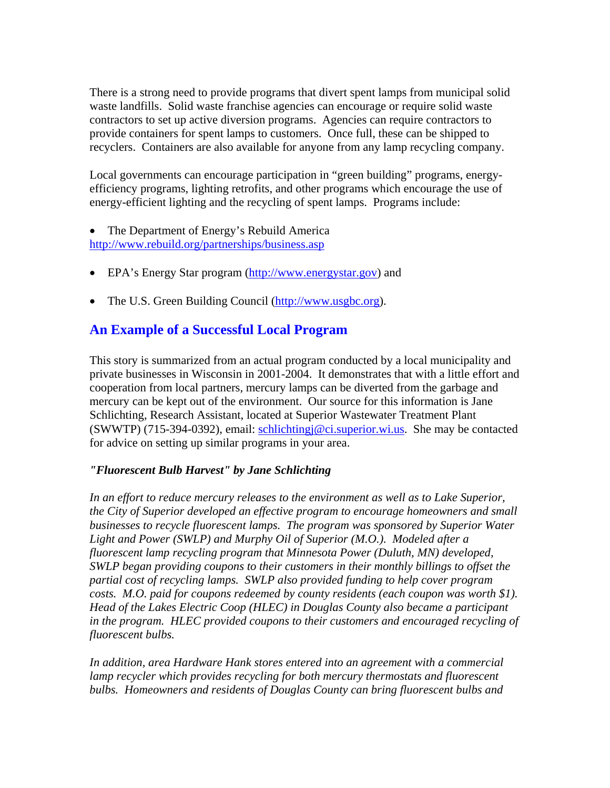There is a strong need to provide programs that divert spent lamps from municipal solid waste landfills. Solid waste franchise agencies can encourage or require solid waste contractors to set up active diversion programs. Agencies can require contractors to provide containers for spent lamps to customers. Once full, these can be shipped to recyclers. Containers are also available for anyone from any lamp recycling company.

Local governments can encourage participation in "green building" programs, energyefficiency programs, lighting retrofits, and other programs which encourage the use of energy-efficient lighting and the recycling of spent lamps. Programs include:

- The Department of Energy's Rebuild America <http://www.rebuild.org/partnerships/business.asp>
- EPA's Energy Star program ([http://www.energystar.gov\)](http://www.energystar.gov/) and
- The U.S. Green Building Council [\(http://www.usgbc.org](http://www.usgbc.org/)).

#### **An Example of a Successful Local Program**

This story is summarized from an actual program conducted by a local municipality and private businesses in Wisconsin in 2001-2004. It demonstrates that with a little effort and cooperation from local partners, mercury lamps can be diverted from the garbage and mercury can be kept out of the environment. Our source for this information is Jane Schlichting, Research Assistant, located at Superior Wastewater Treatment Plant (SWWTP) (715-394-0392), email: [schlichtingj@ci.superior.wi.us.](mailto:schlichtingj@ci.superior.wi.us) She may be contacted for advice on setting up similar programs in your area.

#### *"Fluorescent Bulb Harvest" by Jane Schlichting*

In an effort to reduce mercury releases to the environment as well as to Lake Superior, *the City of Superior developed an effective program to encourage homeowners and small businesses to recycle fluorescent lamps. The program was sponsored by Superior Water Light and Power (SWLP) and Murphy Oil of Superior (M.O.). Modeled after a fluorescent lamp recycling program that Minnesota Power (Duluth, MN) developed, SWLP began providing coupons to their customers in their monthly billings to offset the partial cost of recycling lamps. SWLP also provided funding to help cover program costs. M.O. paid for coupons redeemed by county residents (each coupon was worth \$1). Head of the Lakes Electric Coop (HLEC) in Douglas County also became a participant in the program. HLEC provided coupons to their customers and encouraged recycling of fluorescent bulbs.* 

*In addition, area Hardware Hank stores entered into an agreement with a commercial*  lamp recycler which provides recycling for both mercury thermostats and fluorescent *bulbs. Homeowners and residents of Douglas County can bring fluorescent bulbs and*